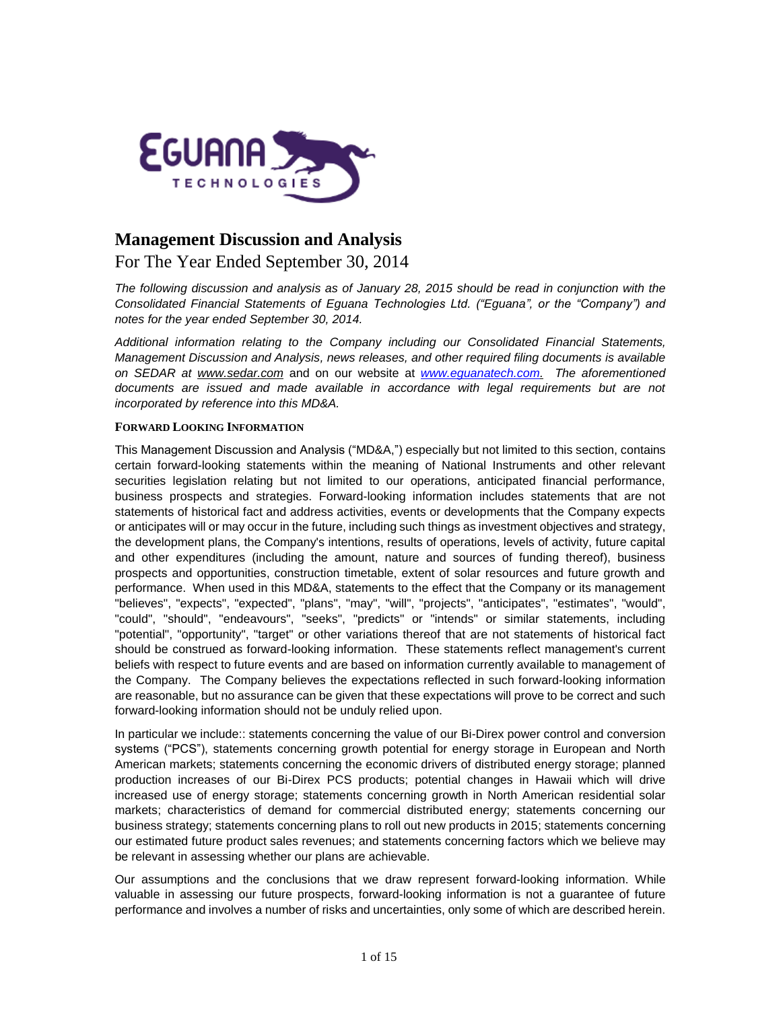

# **Management Discussion and Analysis**

# For The Year Ended September 30, 2014

*The following discussion and analysis as of January 28, 2015 should be read in conjunction with the Consolidated Financial Statements of Eguana Technologies Ltd. ("Eguana", or the "Company") and notes for the year ended September 30, 2014.*

*Additional information relating to the Company including our Consolidated Financial Statements, Management Discussion and Analysis, news releases, and other required filing documents is available on SEDAR at [www.sedar.com](http://www.sedar.com/)* and on our website at *[www.eguanatech.com.](http://www.eguanatech.com/) The aforementioned*  documents are issued and made available in accordance with legal requirements but are not *incorporated by reference into this MD&A.*

# **FORWARD LOOKING INFORMATION**

This Management Discussion and Analysis ("MD&A,") especially but not limited to this section, contains certain forward-looking statements within the meaning of National Instruments and other relevant securities legislation relating but not limited to our operations, anticipated financial performance, business prospects and strategies. Forward-looking information includes statements that are not statements of historical fact and address activities, events or developments that the Company expects or anticipates will or may occur in the future, including such things as investment objectives and strategy, the development plans, the Company's intentions, results of operations, levels of activity, future capital and other expenditures (including the amount, nature and sources of funding thereof), business prospects and opportunities, construction timetable, extent of solar resources and future growth and performance. When used in this MD&A, statements to the effect that the Company or its management "believes", "expects", "expected", "plans", "may", "will", "projects", "anticipates", "estimates", "would", "could", "should", "endeavours", "seeks", "predicts" or "intends" or similar statements, including "potential", "opportunity", "target" or other variations thereof that are not statements of historical fact should be construed as forward-looking information. These statements reflect management's current beliefs with respect to future events and are based on information currently available to management of the Company. The Company believes the expectations reflected in such forward-looking information are reasonable, but no assurance can be given that these expectations will prove to be correct and such forward-looking information should not be unduly relied upon.

In particular we include:: statements concerning the value of our Bi-Direx power control and conversion systems ("PCS"), statements concerning growth potential for energy storage in European and North American markets; statements concerning the economic drivers of distributed energy storage; planned production increases of our Bi-Direx PCS products; potential changes in Hawaii which will drive increased use of energy storage; statements concerning growth in North American residential solar markets; characteristics of demand for commercial distributed energy; statements concerning our business strategy; statements concerning plans to roll out new products in 2015; statements concerning our estimated future product sales revenues; and statements concerning factors which we believe may be relevant in assessing whether our plans are achievable.

Our assumptions and the conclusions that we draw represent forward-looking information. While valuable in assessing our future prospects, forward-looking information is not a guarantee of future performance and involves a number of risks and uncertainties, only some of which are described herein.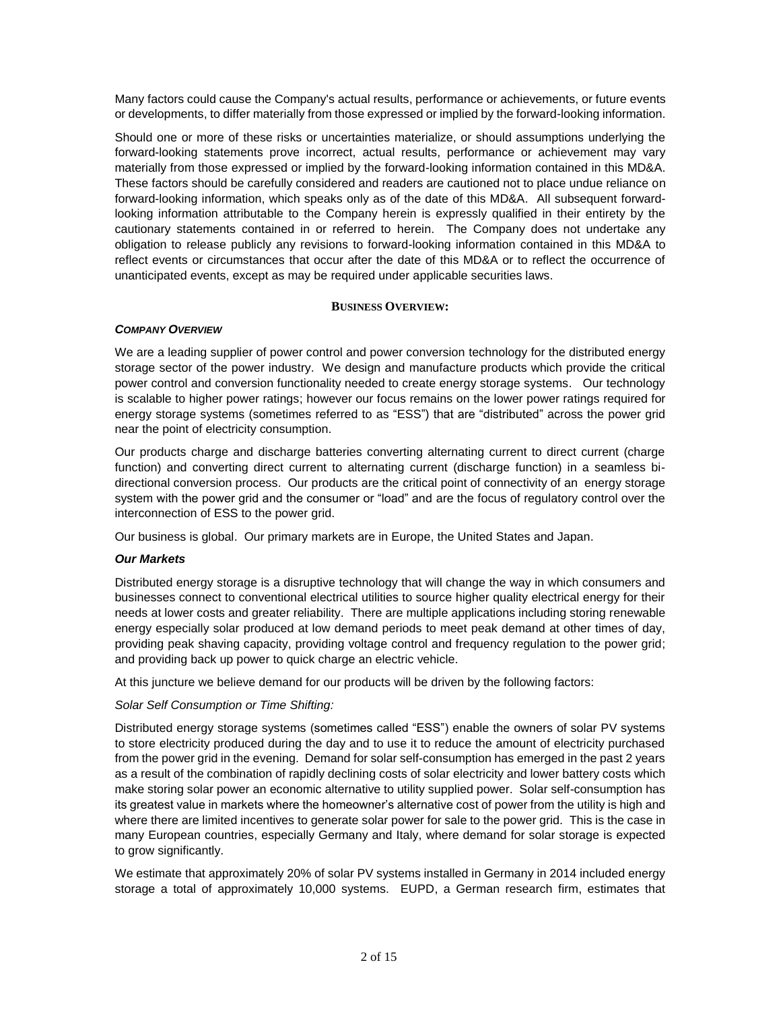Many factors could cause the Company's actual results, performance or achievements, or future events or developments, to differ materially from those expressed or implied by the forward-looking information.

Should one or more of these risks or uncertainties materialize, or should assumptions underlying the forward-looking statements prove incorrect, actual results, performance or achievement may vary materially from those expressed or implied by the forward-looking information contained in this MD&A. These factors should be carefully considered and readers are cautioned not to place undue reliance on forward-looking information, which speaks only as of the date of this MD&A. All subsequent forwardlooking information attributable to the Company herein is expressly qualified in their entirety by the cautionary statements contained in or referred to herein. The Company does not undertake any obligation to release publicly any revisions to forward-looking information contained in this MD&A to reflect events or circumstances that occur after the date of this MD&A or to reflect the occurrence of unanticipated events, except as may be required under applicable securities laws.

#### **BUSINESS OVERVIEW:**

# *COMPANY OVERVIEW*

We are a leading supplier of power control and power conversion technology for the distributed energy storage sector of the power industry. We design and manufacture products which provide the critical power control and conversion functionality needed to create energy storage systems. Our technology is scalable to higher power ratings; however our focus remains on the lower power ratings required for energy storage systems (sometimes referred to as "ESS") that are "distributed" across the power grid near the point of electricity consumption.

Our products charge and discharge batteries converting alternating current to direct current (charge function) and converting direct current to alternating current (discharge function) in a seamless bidirectional conversion process. Our products are the critical point of connectivity of an energy storage system with the power grid and the consumer or "load" and are the focus of regulatory control over the interconnection of ESS to the power grid.

Our business is global. Our primary markets are in Europe, the United States and Japan.

# *Our Markets*

Distributed energy storage is a disruptive technology that will change the way in which consumers and businesses connect to conventional electrical utilities to source higher quality electrical energy for their needs at lower costs and greater reliability. There are multiple applications including storing renewable energy especially solar produced at low demand periods to meet peak demand at other times of day, providing peak shaving capacity, providing voltage control and frequency regulation to the power grid; and providing back up power to quick charge an electric vehicle.

At this juncture we believe demand for our products will be driven by the following factors:

# *Solar Self Consumption or Time Shifting:*

Distributed energy storage systems (sometimes called "ESS") enable the owners of solar PV systems to store electricity produced during the day and to use it to reduce the amount of electricity purchased from the power grid in the evening. Demand for solar self-consumption has emerged in the past 2 years as a result of the combination of rapidly declining costs of solar electricity and lower battery costs which make storing solar power an economic alternative to utility supplied power. Solar self-consumption has its greatest value in markets where the homeowner's alternative cost of power from the utility is high and where there are limited incentives to generate solar power for sale to the power grid. This is the case in many European countries, especially Germany and Italy, where demand for solar storage is expected to grow significantly.

We estimate that approximately 20% of solar PV systems installed in Germany in 2014 included energy storage a total of approximately 10,000 systems. EUPD, a German research firm, estimates that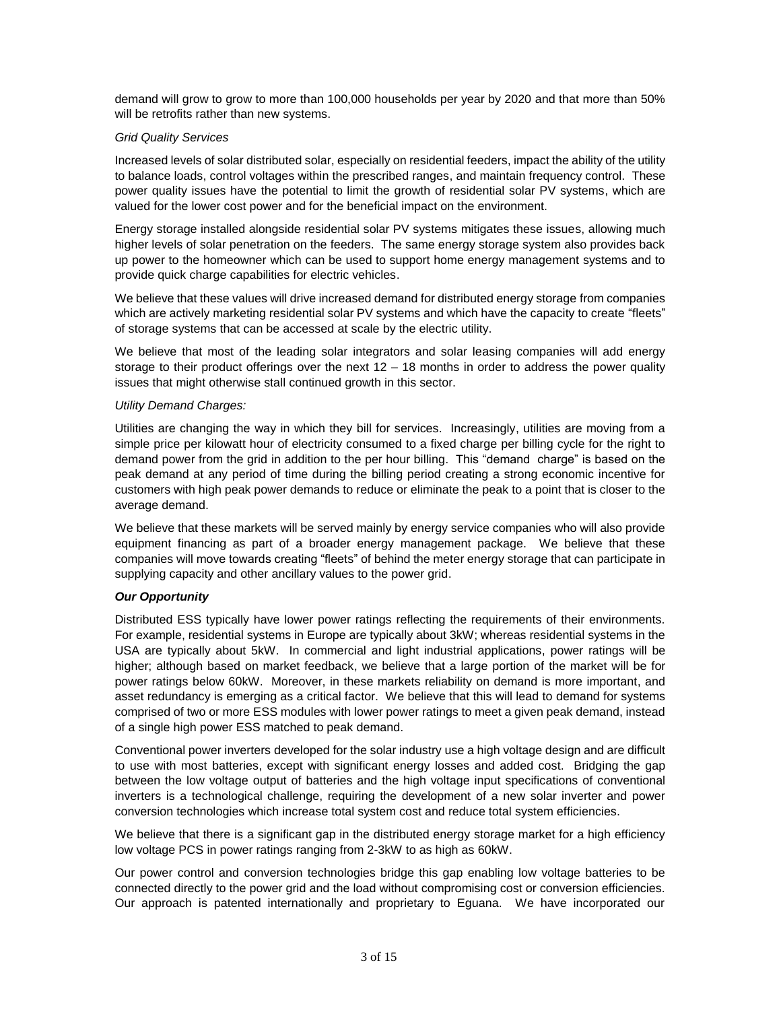demand will grow to grow to more than 100,000 households per year by 2020 and that more than 50% will be retrofits rather than new systems.

#### *Grid Quality Services*

Increased levels of solar distributed solar, especially on residential feeders, impact the ability of the utility to balance loads, control voltages within the prescribed ranges, and maintain frequency control. These power quality issues have the potential to limit the growth of residential solar PV systems, which are valued for the lower cost power and for the beneficial impact on the environment.

Energy storage installed alongside residential solar PV systems mitigates these issues, allowing much higher levels of solar penetration on the feeders. The same energy storage system also provides back up power to the homeowner which can be used to support home energy management systems and to provide quick charge capabilities for electric vehicles.

We believe that these values will drive increased demand for distributed energy storage from companies which are actively marketing residential solar PV systems and which have the capacity to create "fleets" of storage systems that can be accessed at scale by the electric utility.

We believe that most of the leading solar integrators and solar leasing companies will add energy storage to their product offerings over the next 12 – 18 months in order to address the power quality issues that might otherwise stall continued growth in this sector.

#### *Utility Demand Charges:*

Utilities are changing the way in which they bill for services. Increasingly, utilities are moving from a simple price per kilowatt hour of electricity consumed to a fixed charge per billing cycle for the right to demand power from the grid in addition to the per hour billing. This "demand charge" is based on the peak demand at any period of time during the billing period creating a strong economic incentive for customers with high peak power demands to reduce or eliminate the peak to a point that is closer to the average demand.

We believe that these markets will be served mainly by energy service companies who will also provide equipment financing as part of a broader energy management package. We believe that these companies will move towards creating "fleets" of behind the meter energy storage that can participate in supplying capacity and other ancillary values to the power grid.

# *Our Opportunity*

Distributed ESS typically have lower power ratings reflecting the requirements of their environments. For example, residential systems in Europe are typically about 3kW; whereas residential systems in the USA are typically about 5kW. In commercial and light industrial applications, power ratings will be higher; although based on market feedback, we believe that a large portion of the market will be for power ratings below 60kW. Moreover, in these markets reliability on demand is more important, and asset redundancy is emerging as a critical factor. We believe that this will lead to demand for systems comprised of two or more ESS modules with lower power ratings to meet a given peak demand, instead of a single high power ESS matched to peak demand.

Conventional power inverters developed for the solar industry use a high voltage design and are difficult to use with most batteries, except with significant energy losses and added cost. Bridging the gap between the low voltage output of batteries and the high voltage input specifications of conventional inverters is a technological challenge, requiring the development of a new solar inverter and power conversion technologies which increase total system cost and reduce total system efficiencies.

We believe that there is a significant gap in the distributed energy storage market for a high efficiency low voltage PCS in power ratings ranging from 2-3kW to as high as 60kW.

Our power control and conversion technologies bridge this gap enabling low voltage batteries to be connected directly to the power grid and the load without compromising cost or conversion efficiencies. Our approach is patented internationally and proprietary to Eguana. We have incorporated our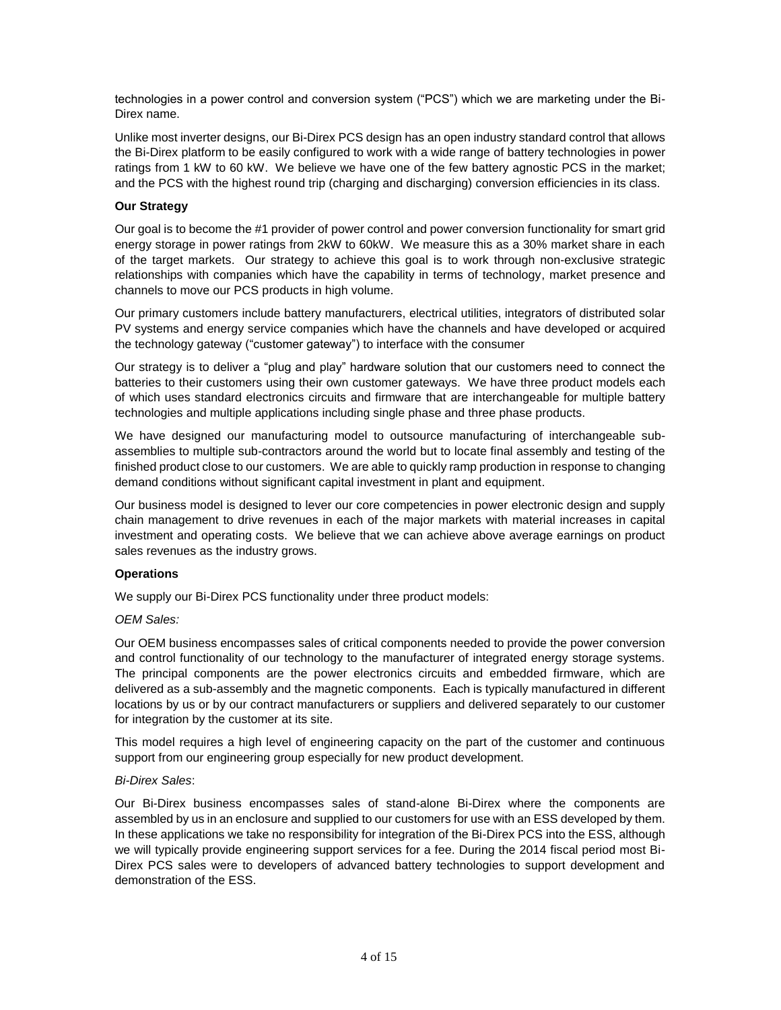technologies in a power control and conversion system ("PCS") which we are marketing under the Bi-Direx name.

Unlike most inverter designs, our Bi-Direx PCS design has an open industry standard control that allows the Bi-Direx platform to be easily configured to work with a wide range of battery technologies in power ratings from 1 kW to 60 kW. We believe we have one of the few battery agnostic PCS in the market; and the PCS with the highest round trip (charging and discharging) conversion efficiencies in its class.

# **Our Strategy**

Our goal is to become the #1 provider of power control and power conversion functionality for smart grid energy storage in power ratings from 2kW to 60kW. We measure this as a 30% market share in each of the target markets. Our strategy to achieve this goal is to work through non-exclusive strategic relationships with companies which have the capability in terms of technology, market presence and channels to move our PCS products in high volume.

Our primary customers include battery manufacturers, electrical utilities, integrators of distributed solar PV systems and energy service companies which have the channels and have developed or acquired the technology gateway ("customer gateway") to interface with the consumer

Our strategy is to deliver a "plug and play" hardware solution that our customers need to connect the batteries to their customers using their own customer gateways. We have three product models each of which uses standard electronics circuits and firmware that are interchangeable for multiple battery technologies and multiple applications including single phase and three phase products.

We have designed our manufacturing model to outsource manufacturing of interchangeable subassemblies to multiple sub-contractors around the world but to locate final assembly and testing of the finished product close to our customers. We are able to quickly ramp production in response to changing demand conditions without significant capital investment in plant and equipment.

Our business model is designed to lever our core competencies in power electronic design and supply chain management to drive revenues in each of the major markets with material increases in capital investment and operating costs. We believe that we can achieve above average earnings on product sales revenues as the industry grows.

# **Operations**

We supply our Bi-Direx PCS functionality under three product models:

# *OEM Sales:*

Our OEM business encompasses sales of critical components needed to provide the power conversion and control functionality of our technology to the manufacturer of integrated energy storage systems. The principal components are the power electronics circuits and embedded firmware, which are delivered as a sub-assembly and the magnetic components. Each is typically manufactured in different locations by us or by our contract manufacturers or suppliers and delivered separately to our customer for integration by the customer at its site.

This model requires a high level of engineering capacity on the part of the customer and continuous support from our engineering group especially for new product development.

# *Bi-Direx Sales*:

Our Bi-Direx business encompasses sales of stand-alone Bi-Direx where the components are assembled by us in an enclosure and supplied to our customers for use with an ESS developed by them. In these applications we take no responsibility for integration of the Bi-Direx PCS into the ESS, although we will typically provide engineering support services for a fee. During the 2014 fiscal period most Bi-Direx PCS sales were to developers of advanced battery technologies to support development and demonstration of the ESS.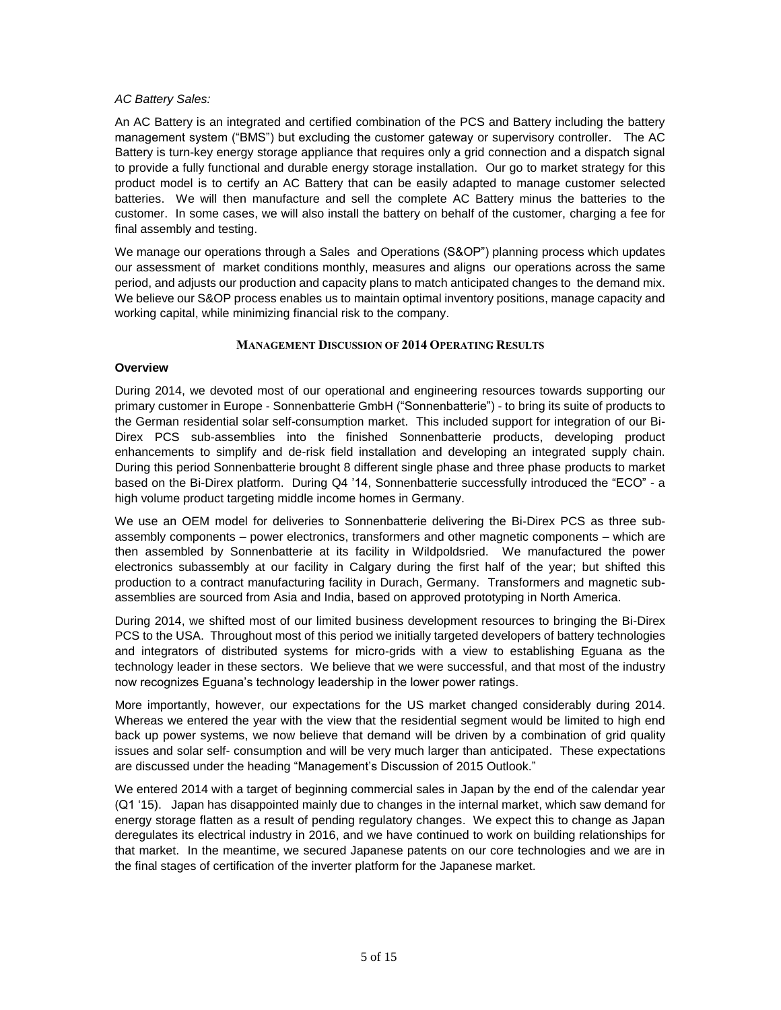# *AC Battery Sales:*

An AC Battery is an integrated and certified combination of the PCS and Battery including the battery management system ("BMS") but excluding the customer gateway or supervisory controller. The AC Battery is turn-key energy storage appliance that requires only a grid connection and a dispatch signal to provide a fully functional and durable energy storage installation. Our go to market strategy for this product model is to certify an AC Battery that can be easily adapted to manage customer selected batteries. We will then manufacture and sell the complete AC Battery minus the batteries to the customer. In some cases, we will also install the battery on behalf of the customer, charging a fee for final assembly and testing.

We manage our operations through a Sales and Operations (S&OP") planning process which updates our assessment of market conditions monthly, measures and aligns our operations across the same period, and adjusts our production and capacity plans to match anticipated changes to the demand mix. We believe our S&OP process enables us to maintain optimal inventory positions, manage capacity and working capital, while minimizing financial risk to the company.

# **MANAGEMENT DISCUSSION OF 2014 OPERATING RESULTS**

# **Overview**

During 2014, we devoted most of our operational and engineering resources towards supporting our primary customer in Europe - Sonnenbatterie GmbH ("Sonnenbatterie") - to bring its suite of products to the German residential solar self-consumption market. This included support for integration of our Bi-Direx PCS sub-assemblies into the finished Sonnenbatterie products, developing product enhancements to simplify and de-risk field installation and developing an integrated supply chain. During this period Sonnenbatterie brought 8 different single phase and three phase products to market based on the Bi-Direx platform. During Q4 '14, Sonnenbatterie successfully introduced the "ECO" - a high volume product targeting middle income homes in Germany.

We use an OEM model for deliveries to Sonnenbatterie delivering the Bi-Direx PCS as three subassembly components – power electronics, transformers and other magnetic components – which are then assembled by Sonnenbatterie at its facility in Wildpoldsried. We manufactured the power electronics subassembly at our facility in Calgary during the first half of the year; but shifted this production to a contract manufacturing facility in Durach, Germany. Transformers and magnetic subassemblies are sourced from Asia and India, based on approved prototyping in North America.

During 2014, we shifted most of our limited business development resources to bringing the Bi-Direx PCS to the USA. Throughout most of this period we initially targeted developers of battery technologies and integrators of distributed systems for micro-grids with a view to establishing Eguana as the technology leader in these sectors. We believe that we were successful, and that most of the industry now recognizes Eguana's technology leadership in the lower power ratings.

More importantly, however, our expectations for the US market changed considerably during 2014. Whereas we entered the year with the view that the residential segment would be limited to high end back up power systems, we now believe that demand will be driven by a combination of grid quality issues and solar self- consumption and will be very much larger than anticipated. These expectations are discussed under the heading "Management's Discussion of 2015 Outlook."

We entered 2014 with a target of beginning commercial sales in Japan by the end of the calendar year (Q1 '15). Japan has disappointed mainly due to changes in the internal market, which saw demand for energy storage flatten as a result of pending regulatory changes. We expect this to change as Japan deregulates its electrical industry in 2016, and we have continued to work on building relationships for that market. In the meantime, we secured Japanese patents on our core technologies and we are in the final stages of certification of the inverter platform for the Japanese market.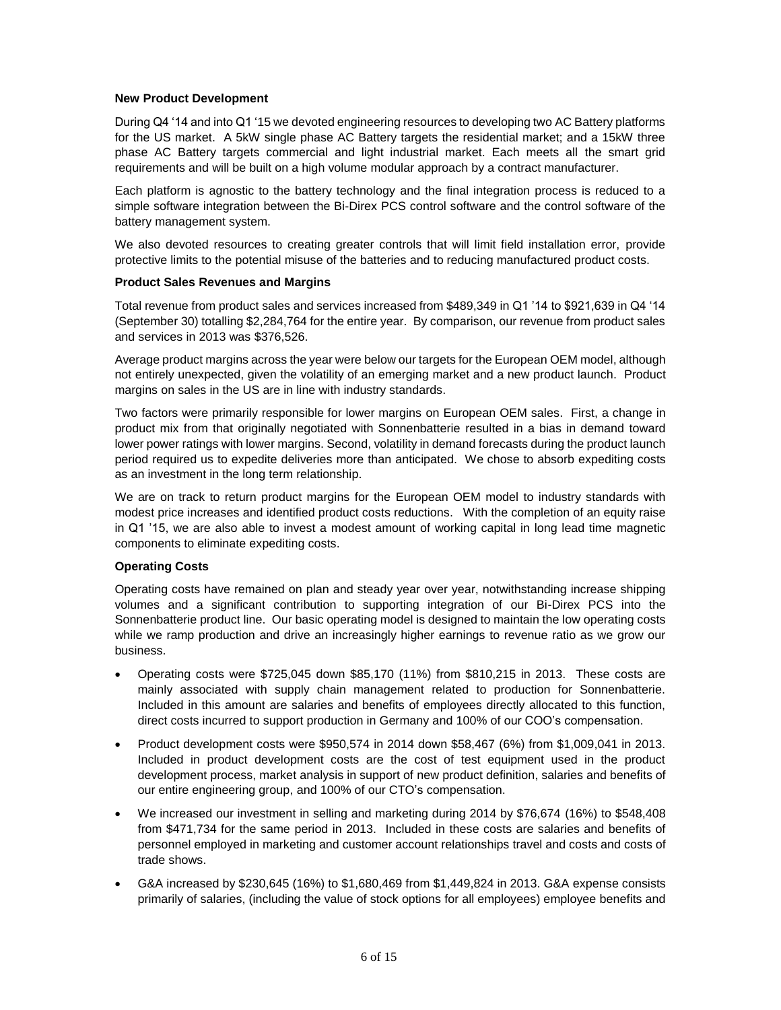#### **New Product Development**

During Q4 '14 and into Q1 '15 we devoted engineering resources to developing two AC Battery platforms for the US market. A 5kW single phase AC Battery targets the residential market; and a 15kW three phase AC Battery targets commercial and light industrial market. Each meets all the smart grid requirements and will be built on a high volume modular approach by a contract manufacturer.

Each platform is agnostic to the battery technology and the final integration process is reduced to a simple software integration between the Bi-Direx PCS control software and the control software of the battery management system.

We also devoted resources to creating greater controls that will limit field installation error, provide protective limits to the potential misuse of the batteries and to reducing manufactured product costs.

#### **Product Sales Revenues and Margins**

Total revenue from product sales and services increased from \$489,349 in Q1 '14 to \$921,639 in Q4 '14 (September 30) totalling \$2,284,764 for the entire year. By comparison, our revenue from product sales and services in 2013 was \$376,526.

Average product margins across the year were below our targets for the European OEM model, although not entirely unexpected, given the volatility of an emerging market and a new product launch. Product margins on sales in the US are in line with industry standards.

Two factors were primarily responsible for lower margins on European OEM sales. First, a change in product mix from that originally negotiated with Sonnenbatterie resulted in a bias in demand toward lower power ratings with lower margins. Second, volatility in demand forecasts during the product launch period required us to expedite deliveries more than anticipated. We chose to absorb expediting costs as an investment in the long term relationship.

We are on track to return product margins for the European OEM model to industry standards with modest price increases and identified product costs reductions. With the completion of an equity raise in Q1 '15, we are also able to invest a modest amount of working capital in long lead time magnetic components to eliminate expediting costs.

# **Operating Costs**

Operating costs have remained on plan and steady year over year, notwithstanding increase shipping volumes and a significant contribution to supporting integration of our Bi-Direx PCS into the Sonnenbatterie product line. Our basic operating model is designed to maintain the low operating costs while we ramp production and drive an increasingly higher earnings to revenue ratio as we grow our business.

- Operating costs were \$725,045 down \$85,170 (11%) from \$810,215 in 2013. These costs are mainly associated with supply chain management related to production for Sonnenbatterie. Included in this amount are salaries and benefits of employees directly allocated to this function, direct costs incurred to support production in Germany and 100% of our COO's compensation.
- Product development costs were \$950,574 in 2014 down \$58,467 (6%) from \$1,009,041 in 2013. Included in product development costs are the cost of test equipment used in the product development process, market analysis in support of new product definition, salaries and benefits of our entire engineering group, and 100% of our CTO's compensation.
- We increased our investment in selling and marketing during 2014 by \$76,674 (16%) to \$548,408 from \$471,734 for the same period in 2013. Included in these costs are salaries and benefits of personnel employed in marketing and customer account relationships travel and costs and costs of trade shows.
- G&A increased by \$230,645 (16%) to \$1,680,469 from \$1,449,824 in 2013. G&A expense consists primarily of salaries, (including the value of stock options for all employees) employee benefits and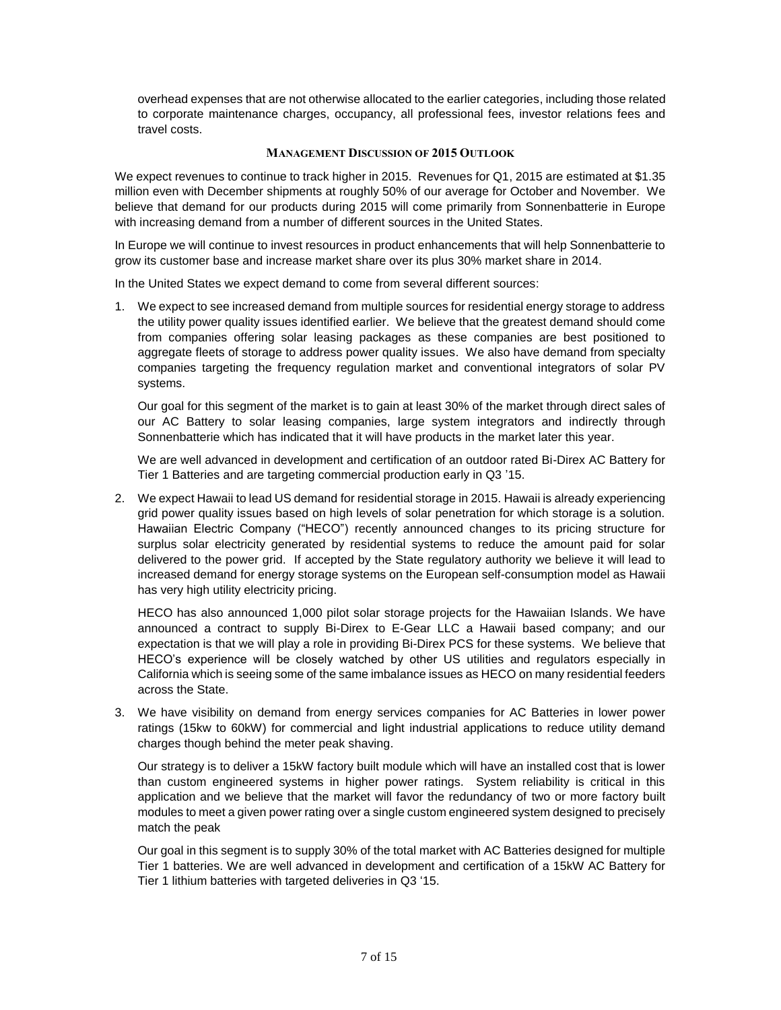overhead expenses that are not otherwise allocated to the earlier categories, including those related to corporate maintenance charges, occupancy, all professional fees, investor relations fees and travel costs.

#### **MANAGEMENT DISCUSSION OF 2015 OUTLOOK**

We expect revenues to continue to track higher in 2015. Revenues for Q1, 2015 are estimated at \$1.35 million even with December shipments at roughly 50% of our average for October and November. We believe that demand for our products during 2015 will come primarily from Sonnenbatterie in Europe with increasing demand from a number of different sources in the United States.

In Europe we will continue to invest resources in product enhancements that will help Sonnenbatterie to grow its customer base and increase market share over its plus 30% market share in 2014.

In the United States we expect demand to come from several different sources:

1. We expect to see increased demand from multiple sources for residential energy storage to address the utility power quality issues identified earlier. We believe that the greatest demand should come from companies offering solar leasing packages as these companies are best positioned to aggregate fleets of storage to address power quality issues. We also have demand from specialty companies targeting the frequency regulation market and conventional integrators of solar PV systems.

Our goal for this segment of the market is to gain at least 30% of the market through direct sales of our AC Battery to solar leasing companies, large system integrators and indirectly through Sonnenbatterie which has indicated that it will have products in the market later this year.

We are well advanced in development and certification of an outdoor rated Bi-Direx AC Battery for Tier 1 Batteries and are targeting commercial production early in Q3 '15.

2. We expect Hawaii to lead US demand for residential storage in 2015. Hawaii is already experiencing grid power quality issues based on high levels of solar penetration for which storage is a solution. Hawaiian Electric Company ("HECO") recently announced changes to its pricing structure for surplus solar electricity generated by residential systems to reduce the amount paid for solar delivered to the power grid. If accepted by the State regulatory authority we believe it will lead to increased demand for energy storage systems on the European self-consumption model as Hawaii has very high utility electricity pricing.

HECO has also announced 1,000 pilot solar storage projects for the Hawaiian Islands. We have announced a contract to supply Bi-Direx to E-Gear LLC a Hawaii based company; and our expectation is that we will play a role in providing Bi-Direx PCS for these systems. We believe that HECO's experience will be closely watched by other US utilities and regulators especially in California which is seeing some of the same imbalance issues as HECO on many residential feeders across the State.

3. We have visibility on demand from energy services companies for AC Batteries in lower power ratings (15kw to 60kW) for commercial and light industrial applications to reduce utility demand charges though behind the meter peak shaving.

Our strategy is to deliver a 15kW factory built module which will have an installed cost that is lower than custom engineered systems in higher power ratings. System reliability is critical in this application and we believe that the market will favor the redundancy of two or more factory built modules to meet a given power rating over a single custom engineered system designed to precisely match the peak

Our goal in this segment is to supply 30% of the total market with AC Batteries designed for multiple Tier 1 batteries. We are well advanced in development and certification of a 15kW AC Battery for Tier 1 lithium batteries with targeted deliveries in Q3 '15.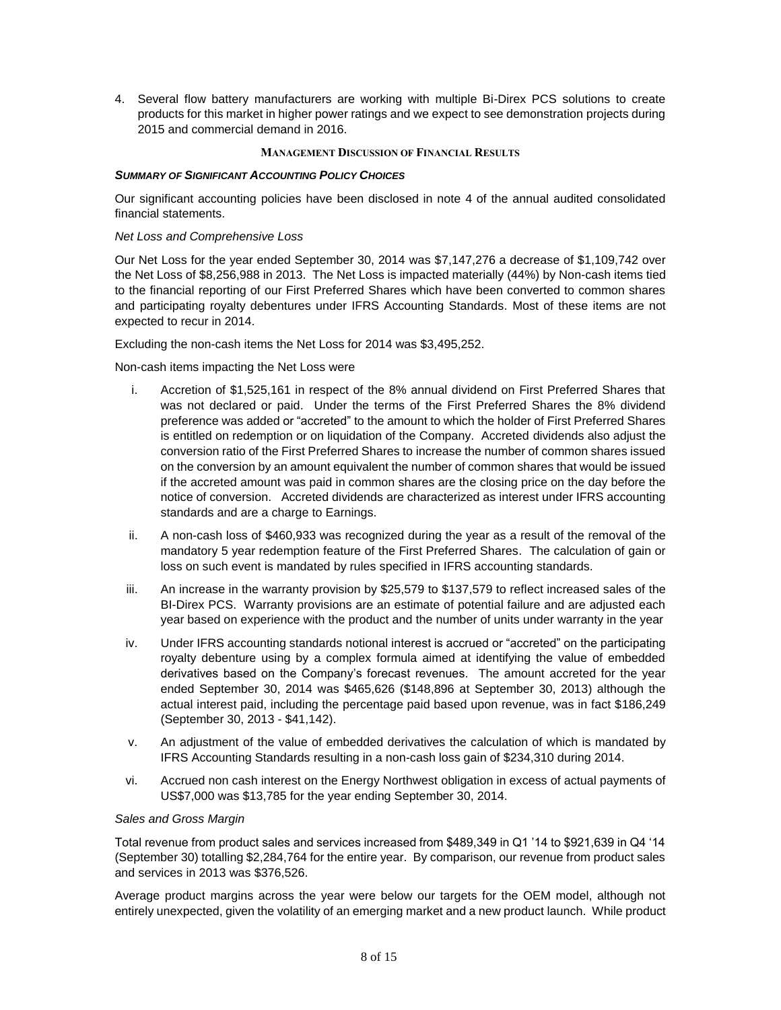4. Several flow battery manufacturers are working with multiple Bi-Direx PCS solutions to create products for this market in higher power ratings and we expect to see demonstration projects during 2015 and commercial demand in 2016.

#### **MANAGEMENT DISCUSSION OF FINANCIAL RESULTS**

#### *SUMMARY OF SIGNIFICANT ACCOUNTING POLICY CHOICES*

Our significant accounting policies have been disclosed in note 4 of the annual audited consolidated financial statements.

#### *Net Loss and Comprehensive Loss*

Our Net Loss for the year ended September 30, 2014 was \$7,147,276 a decrease of \$1,109,742 over the Net Loss of \$8,256,988 in 2013. The Net Loss is impacted materially (44%) by Non-cash items tied to the financial reporting of our First Preferred Shares which have been converted to common shares and participating royalty debentures under IFRS Accounting Standards. Most of these items are not expected to recur in 2014.

Excluding the non-cash items the Net Loss for 2014 was \$3,495,252.

Non-cash items impacting the Net Loss were

- i. Accretion of \$1,525,161 in respect of the 8% annual dividend on First Preferred Shares that was not declared or paid. Under the terms of the First Preferred Shares the 8% dividend preference was added or "accreted" to the amount to which the holder of First Preferred Shares is entitled on redemption or on liquidation of the Company. Accreted dividends also adjust the conversion ratio of the First Preferred Shares to increase the number of common shares issued on the conversion by an amount equivalent the number of common shares that would be issued if the accreted amount was paid in common shares are the closing price on the day before the notice of conversion. Accreted dividends are characterized as interest under IFRS accounting standards and are a charge to Earnings.
- ii. A non-cash loss of \$460,933 was recognized during the year as a result of the removal of the mandatory 5 year redemption feature of the First Preferred Shares. The calculation of gain or loss on such event is mandated by rules specified in IFRS accounting standards.
- iii. An increase in the warranty provision by \$25,579 to \$137,579 to reflect increased sales of the BI-Direx PCS. Warranty provisions are an estimate of potential failure and are adjusted each year based on experience with the product and the number of units under warranty in the year
- iv. Under IFRS accounting standards notional interest is accrued or "accreted" on the participating royalty debenture using by a complex formula aimed at identifying the value of embedded derivatives based on the Company's forecast revenues. The amount accreted for the year ended September 30, 2014 was \$465,626 (\$148,896 at September 30, 2013) although the actual interest paid, including the percentage paid based upon revenue, was in fact \$186,249 (September 30, 2013 - \$41,142).
- v. An adjustment of the value of embedded derivatives the calculation of which is mandated by IFRS Accounting Standards resulting in a non-cash loss gain of \$234,310 during 2014.
- vi. Accrued non cash interest on the Energy Northwest obligation in excess of actual payments of US\$7,000 was \$13,785 for the year ending September 30, 2014.

# *Sales and Gross Margin*

Total revenue from product sales and services increased from \$489,349 in Q1 '14 to \$921,639 in Q4 '14 (September 30) totalling \$2,284,764 for the entire year. By comparison, our revenue from product sales and services in 2013 was \$376,526.

Average product margins across the year were below our targets for the OEM model, although not entirely unexpected, given the volatility of an emerging market and a new product launch. While product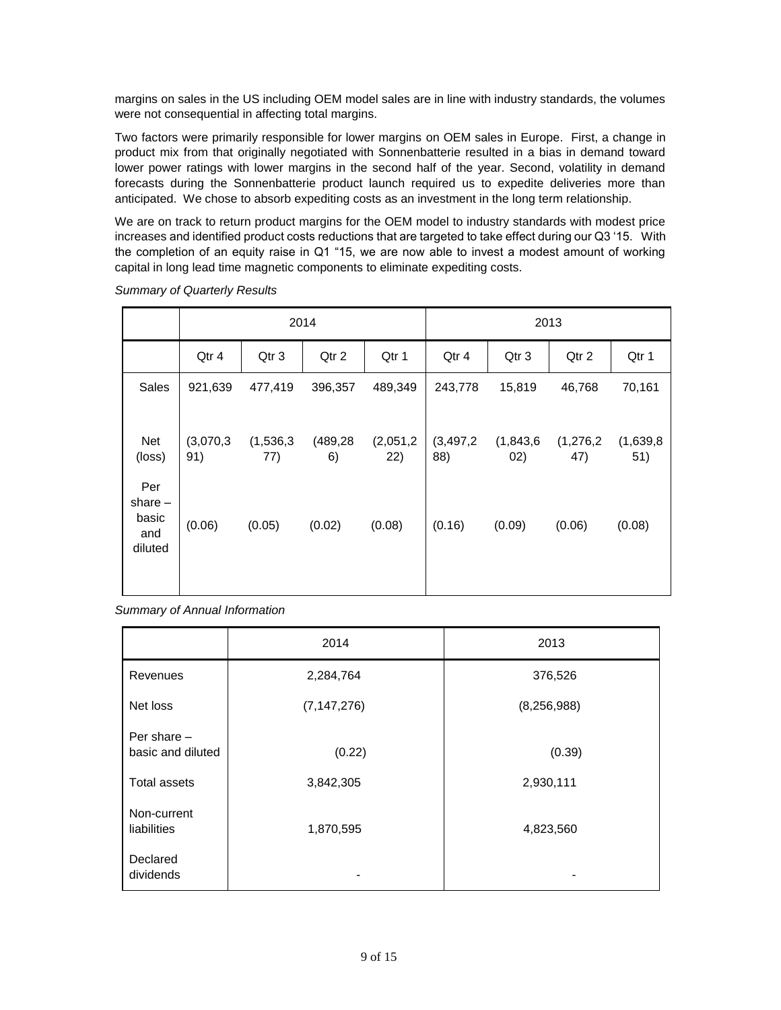margins on sales in the US including OEM model sales are in line with industry standards, the volumes were not consequential in affecting total margins.

Two factors were primarily responsible for lower margins on OEM sales in Europe. First, a change in product mix from that originally negotiated with Sonnenbatterie resulted in a bias in demand toward lower power ratings with lower margins in the second half of the year. Second, volatility in demand forecasts during the Sonnenbatterie product launch required us to expedite deliveries more than anticipated. We chose to absorb expediting costs as an investment in the long term relationship.

We are on track to return product margins for the OEM model to industry standards with modest price increases and identified product costs reductions that are targeted to take effect during our Q3 '15. With the completion of an equity raise in Q1 "15, we are now able to invest a modest amount of working capital in long lead time magnetic components to eliminate expediting costs.

|                                             | 2014             |                  |                 |                  | 2013               |                  |                  |                  |
|---------------------------------------------|------------------|------------------|-----------------|------------------|--------------------|------------------|------------------|------------------|
|                                             | Qtr 4            | Qtr 3            | Qtr 2           | Qtr 1            | Qtr 4              | Qtr 3            | Qtr 2            | Qtr 1            |
| Sales                                       | 921,639          | 477,419          | 396,357         | 489,349          | 243,778            | 15,819           | 46,768           | 70,161           |
| Net<br>(loss)                               | (3,070,3)<br>91) | (1,536,3)<br>77) | (489, 28)<br>6) | (2,051,2)<br>22) | (3, 497, 2)<br>88) | (1,843,6)<br>02) | (1,276,2)<br>47) | (1,639,8)<br>51) |
| Per<br>share $-$<br>basic<br>and<br>diluted | (0.06)           | (0.05)           | (0.02)          | (0.08)           | (0.16)             | (0.09)           | (0.06)           | (0.08)           |

*Summary of Quarterly Results*

*Summary of Annual Information*

|                                    | 2014          | 2013          |
|------------------------------------|---------------|---------------|
| Revenues                           | 2,284,764     | 376,526       |
| Net loss                           | (7, 147, 276) | (8, 256, 988) |
| Per share $-$<br>basic and diluted | (0.22)        | (0.39)        |
| <b>Total assets</b>                | 3,842,305     | 2,930,111     |
| Non-current<br>liabilities         | 1,870,595     | 4,823,560     |
| Declared<br>dividends              |               |               |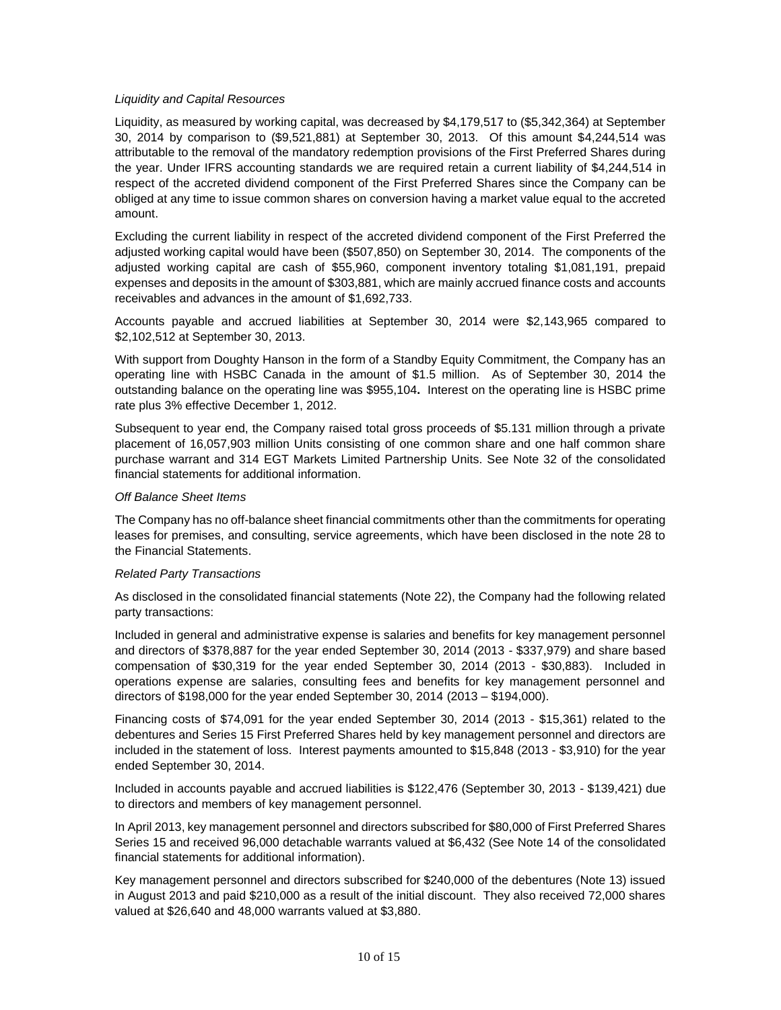#### *Liquidity and Capital Resources*

Liquidity, as measured by working capital, was decreased by \$4,179,517 to (\$5,342,364) at September 30, 2014 by comparison to (\$9,521,881) at September 30, 2013. Of this amount \$4,244,514 was attributable to the removal of the mandatory redemption provisions of the First Preferred Shares during the year. Under IFRS accounting standards we are required retain a current liability of \$4,244,514 in respect of the accreted dividend component of the First Preferred Shares since the Company can be obliged at any time to issue common shares on conversion having a market value equal to the accreted amount.

Excluding the current liability in respect of the accreted dividend component of the First Preferred the adjusted working capital would have been (\$507,850) on September 30, 2014. The components of the adjusted working capital are cash of \$55,960, component inventory totaling \$1,081,191, prepaid expenses and deposits in the amount of \$303,881, which are mainly accrued finance costs and accounts receivables and advances in the amount of \$1,692,733.

Accounts payable and accrued liabilities at September 30, 2014 were \$2,143,965 compared to \$2,102,512 at September 30, 2013.

With support from Doughty Hanson in the form of a Standby Equity Commitment, the Company has an operating line with HSBC Canada in the amount of \$1.5 million. As of September 30, 2014 the outstanding balance on the operating line was \$955,104**.** Interest on the operating line is HSBC prime rate plus 3% effective December 1, 2012.

Subsequent to year end, the Company raised total gross proceeds of \$5.131 million through a private placement of 16,057,903 million Units consisting of one common share and one half common share purchase warrant and 314 EGT Markets Limited Partnership Units. See Note 32 of the consolidated financial statements for additional information.

#### *Off Balance Sheet Items*

The Company has no off-balance sheet financial commitments other than the commitments for operating leases for premises, and consulting, service agreements, which have been disclosed in the note 28 to the Financial Statements.

# *Related Party Transactions*

As disclosed in the consolidated financial statements (Note 22), the Company had the following related party transactions:

Included in general and administrative expense is salaries and benefits for key management personnel and directors of \$378,887 for the year ended September 30, 2014 (2013 - \$337,979) and share based compensation of \$30,319 for the year ended September 30, 2014 (2013 - \$30,883). Included in operations expense are salaries, consulting fees and benefits for key management personnel and directors of \$198,000 for the year ended September 30, 2014 (2013 – \$194,000).

Financing costs of \$74,091 for the year ended September 30, 2014 (2013 - \$15,361) related to the debentures and Series 15 First Preferred Shares held by key management personnel and directors are included in the statement of loss. Interest payments amounted to \$15,848 (2013 - \$3,910) for the year ended September 30, 2014.

Included in accounts payable and accrued liabilities is \$122,476 (September 30, 2013 - \$139,421) due to directors and members of key management personnel.

In April 2013, key management personnel and directors subscribed for \$80,000 of First Preferred Shares Series 15 and received 96,000 detachable warrants valued at \$6,432 (See Note 14 of the consolidated financial statements for additional information).

Key management personnel and directors subscribed for \$240,000 of the debentures (Note 13) issued in August 2013 and paid \$210,000 as a result of the initial discount. They also received 72,000 shares valued at \$26,640 and 48,000 warrants valued at \$3,880.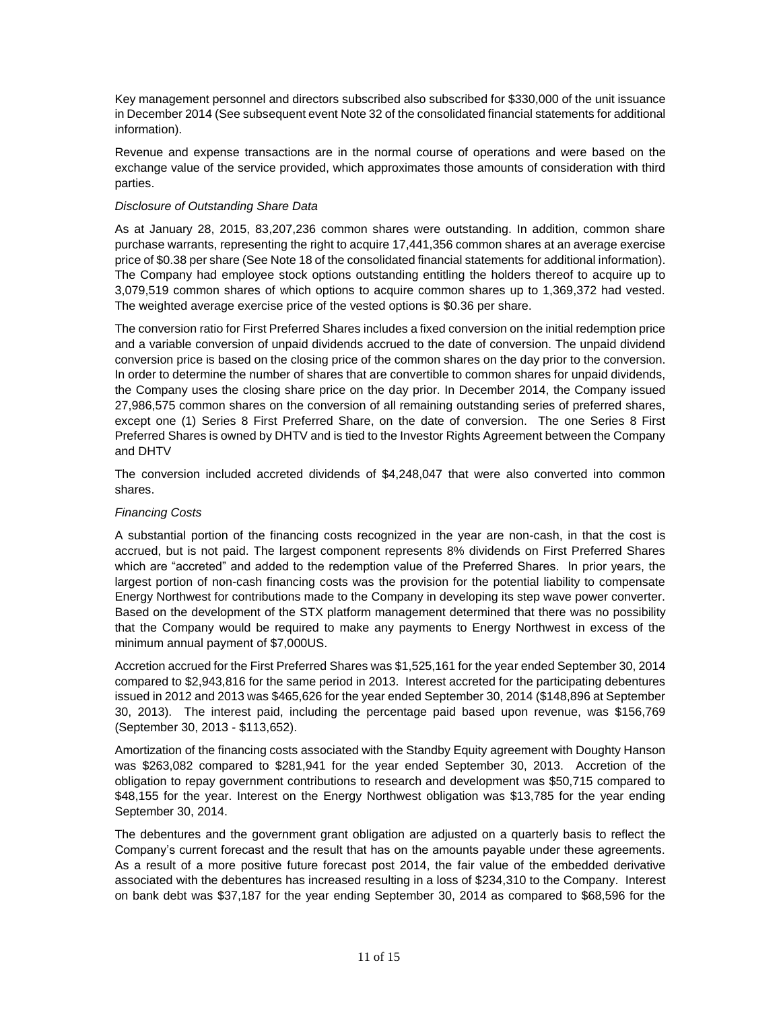Key management personnel and directors subscribed also subscribed for \$330,000 of the unit issuance in December 2014 (See subsequent event Note 32 of the consolidated financial statements for additional information).

Revenue and expense transactions are in the normal course of operations and were based on the exchange value of the service provided, which approximates those amounts of consideration with third parties.

# *Disclosure of Outstanding Share Data*

As at January 28, 2015, 83,207,236 common shares were outstanding. In addition, common share purchase warrants, representing the right to acquire 17,441,356 common shares at an average exercise price of \$0.38 per share (See Note 18 of the consolidated financial statements for additional information). The Company had employee stock options outstanding entitling the holders thereof to acquire up to 3,079,519 common shares of which options to acquire common shares up to 1,369,372 had vested. The weighted average exercise price of the vested options is \$0.36 per share.

The conversion ratio for First Preferred Shares includes a fixed conversion on the initial redemption price and a variable conversion of unpaid dividends accrued to the date of conversion. The unpaid dividend conversion price is based on the closing price of the common shares on the day prior to the conversion. In order to determine the number of shares that are convertible to common shares for unpaid dividends, the Company uses the closing share price on the day prior. In December 2014, the Company issued 27,986,575 common shares on the conversion of all remaining outstanding series of preferred shares, except one (1) Series 8 First Preferred Share, on the date of conversion. The one Series 8 First Preferred Shares is owned by DHTV and is tied to the Investor Rights Agreement between the Company and DHTV

The conversion included accreted dividends of \$4,248,047 that were also converted into common shares.

# *Financing Costs*

A substantial portion of the financing costs recognized in the year are non-cash, in that the cost is accrued, but is not paid. The largest component represents 8% dividends on First Preferred Shares which are "accreted" and added to the redemption value of the Preferred Shares. In prior years, the largest portion of non-cash financing costs was the provision for the potential liability to compensate Energy Northwest for contributions made to the Company in developing its step wave power converter. Based on the development of the STX platform management determined that there was no possibility that the Company would be required to make any payments to Energy Northwest in excess of the minimum annual payment of \$7,000US.

Accretion accrued for the First Preferred Shares was \$1,525,161 for the year ended September 30, 2014 compared to \$2,943,816 for the same period in 2013. Interest accreted for the participating debentures issued in 2012 and 2013 was \$465,626 for the year ended September 30, 2014 (\$148,896 at September 30, 2013). The interest paid, including the percentage paid based upon revenue, was \$156,769 (September 30, 2013 - \$113,652).

Amortization of the financing costs associated with the Standby Equity agreement with Doughty Hanson was \$263,082 compared to \$281,941 for the year ended September 30, 2013. Accretion of the obligation to repay government contributions to research and development was \$50,715 compared to \$48,155 for the year. Interest on the Energy Northwest obligation was \$13,785 for the year ending September 30, 2014.

The debentures and the government grant obligation are adjusted on a quarterly basis to reflect the Company's current forecast and the result that has on the amounts payable under these agreements. As a result of a more positive future forecast post 2014, the fair value of the embedded derivative associated with the debentures has increased resulting in a loss of \$234,310 to the Company. Interest on bank debt was \$37,187 for the year ending September 30, 2014 as compared to \$68,596 for the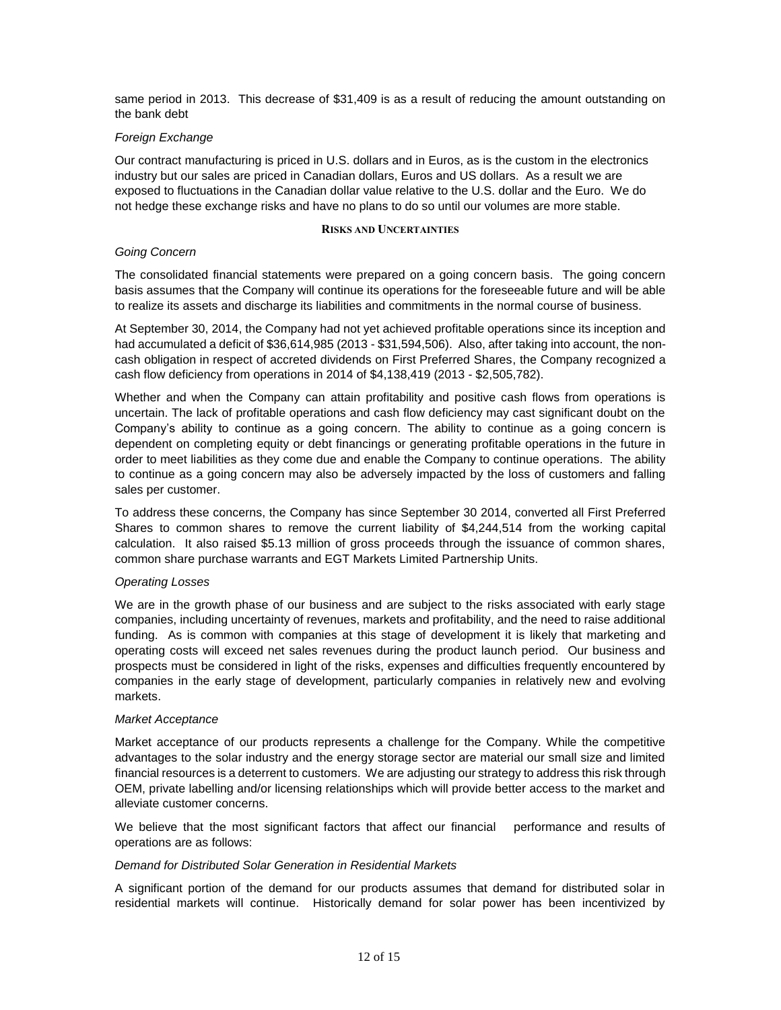same period in 2013. This decrease of \$31,409 is as a result of reducing the amount outstanding on the bank debt

# *Foreign Exchange*

Our contract manufacturing is priced in U.S. dollars and in Euros, as is the custom in the electronics industry but our sales are priced in Canadian dollars, Euros and US dollars. As a result we are exposed to fluctuations in the Canadian dollar value relative to the U.S. dollar and the Euro. We do not hedge these exchange risks and have no plans to do so until our volumes are more stable.

#### **RISKS AND UNCERTAINTIES**

#### *Going Concern*

The consolidated financial statements were prepared on a going concern basis. The going concern basis assumes that the Company will continue its operations for the foreseeable future and will be able to realize its assets and discharge its liabilities and commitments in the normal course of business.

At September 30, 2014, the Company had not yet achieved profitable operations since its inception and had accumulated a deficit of \$36,614,985 (2013 - \$31,594,506). Also, after taking into account, the noncash obligation in respect of accreted dividends on First Preferred Shares, the Company recognized a cash flow deficiency from operations in 2014 of \$4,138,419 (2013 - \$2,505,782).

Whether and when the Company can attain profitability and positive cash flows from operations is uncertain. The lack of profitable operations and cash flow deficiency may cast significant doubt on the Company's ability to continue as a going concern. The ability to continue as a going concern is dependent on completing equity or debt financings or generating profitable operations in the future in order to meet liabilities as they come due and enable the Company to continue operations. The ability to continue as a going concern may also be adversely impacted by the loss of customers and falling sales per customer.

To address these concerns, the Company has since September 30 2014, converted all First Preferred Shares to common shares to remove the current liability of \$4,244,514 from the working capital calculation. It also raised \$5.13 million of gross proceeds through the issuance of common shares, common share purchase warrants and EGT Markets Limited Partnership Units.

#### *Operating Losses*

We are in the growth phase of our business and are subject to the risks associated with early stage companies, including uncertainty of revenues, markets and profitability, and the need to raise additional funding. As is common with companies at this stage of development it is likely that marketing and operating costs will exceed net sales revenues during the product launch period. Our business and prospects must be considered in light of the risks, expenses and difficulties frequently encountered by companies in the early stage of development, particularly companies in relatively new and evolving markets.

#### *Market Acceptance*

Market acceptance of our products represents a challenge for the Company. While the competitive advantages to the solar industry and the energy storage sector are material our small size and limited financial resources is a deterrent to customers. We are adjusting our strategy to address this risk through OEM, private labelling and/or licensing relationships which will provide better access to the market and alleviate customer concerns.

We believe that the most significant factors that affect our financial performance and results of operations are as follows:

#### *Demand for Distributed Solar Generation in Residential Markets*

A significant portion of the demand for our products assumes that demand for distributed solar in residential markets will continue. Historically demand for solar power has been incentivized by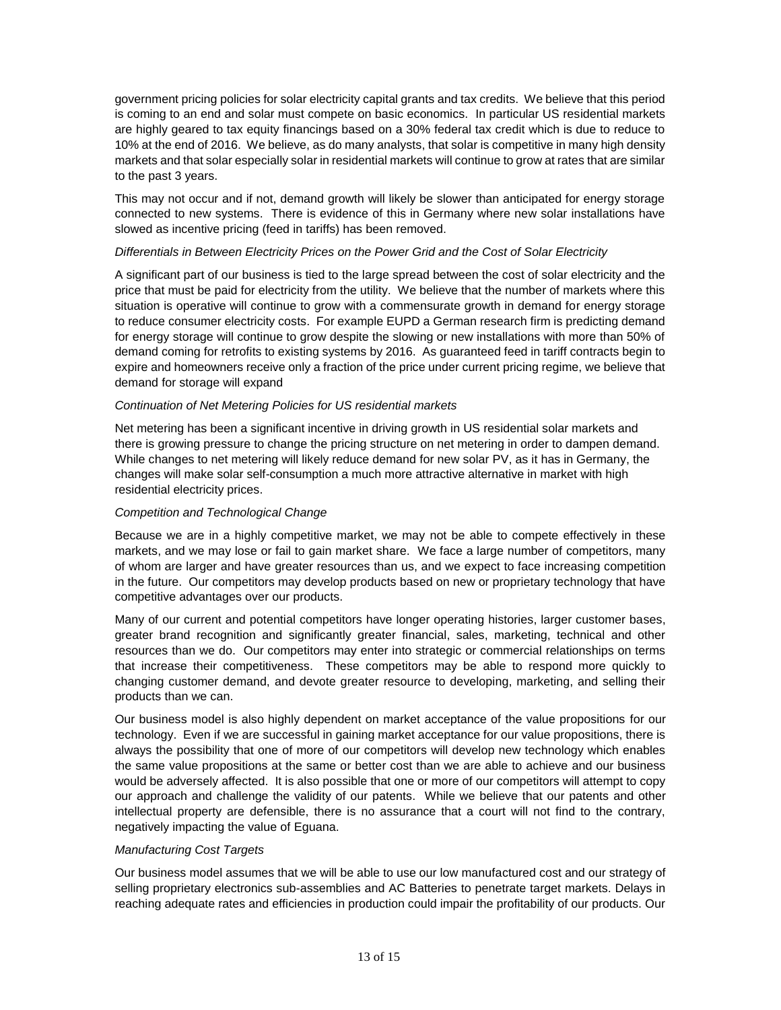government pricing policies for solar electricity capital grants and tax credits. We believe that this period is coming to an end and solar must compete on basic economics. In particular US residential markets are highly geared to tax equity financings based on a 30% federal tax credit which is due to reduce to 10% at the end of 2016. We believe, as do many analysts, that solar is competitive in many high density markets and that solar especially solar in residential markets will continue to grow at rates that are similar to the past 3 years.

This may not occur and if not, demand growth will likely be slower than anticipated for energy storage connected to new systems. There is evidence of this in Germany where new solar installations have slowed as incentive pricing (feed in tariffs) has been removed.

#### *Differentials in Between Electricity Prices on the Power Grid and the Cost of Solar Electricity*

A significant part of our business is tied to the large spread between the cost of solar electricity and the price that must be paid for electricity from the utility. We believe that the number of markets where this situation is operative will continue to grow with a commensurate growth in demand for energy storage to reduce consumer electricity costs. For example EUPD a German research firm is predicting demand for energy storage will continue to grow despite the slowing or new installations with more than 50% of demand coming for retrofits to existing systems by 2016. As guaranteed feed in tariff contracts begin to expire and homeowners receive only a fraction of the price under current pricing regime, we believe that demand for storage will expand

# *Continuation of Net Metering Policies for US residential markets*

Net metering has been a significant incentive in driving growth in US residential solar markets and there is growing pressure to change the pricing structure on net metering in order to dampen demand. While changes to net metering will likely reduce demand for new solar PV, as it has in Germany, the changes will make solar self-consumption a much more attractive alternative in market with high residential electricity prices.

# *Competition and Technological Change*

Because we are in a highly competitive market, we may not be able to compete effectively in these markets, and we may lose or fail to gain market share. We face a large number of competitors, many of whom are larger and have greater resources than us, and we expect to face increasing competition in the future. Our competitors may develop products based on new or proprietary technology that have competitive advantages over our products.

Many of our current and potential competitors have longer operating histories, larger customer bases, greater brand recognition and significantly greater financial, sales, marketing, technical and other resources than we do. Our competitors may enter into strategic or commercial relationships on terms that increase their competitiveness. These competitors may be able to respond more quickly to changing customer demand, and devote greater resource to developing, marketing, and selling their products than we can.

Our business model is also highly dependent on market acceptance of the value propositions for our technology. Even if we are successful in gaining market acceptance for our value propositions, there is always the possibility that one of more of our competitors will develop new technology which enables the same value propositions at the same or better cost than we are able to achieve and our business would be adversely affected. It is also possible that one or more of our competitors will attempt to copy our approach and challenge the validity of our patents. While we believe that our patents and other intellectual property are defensible, there is no assurance that a court will not find to the contrary, negatively impacting the value of Eguana.

#### *Manufacturing Cost Targets*

Our business model assumes that we will be able to use our low manufactured cost and our strategy of selling proprietary electronics sub-assemblies and AC Batteries to penetrate target markets. Delays in reaching adequate rates and efficiencies in production could impair the profitability of our products. Our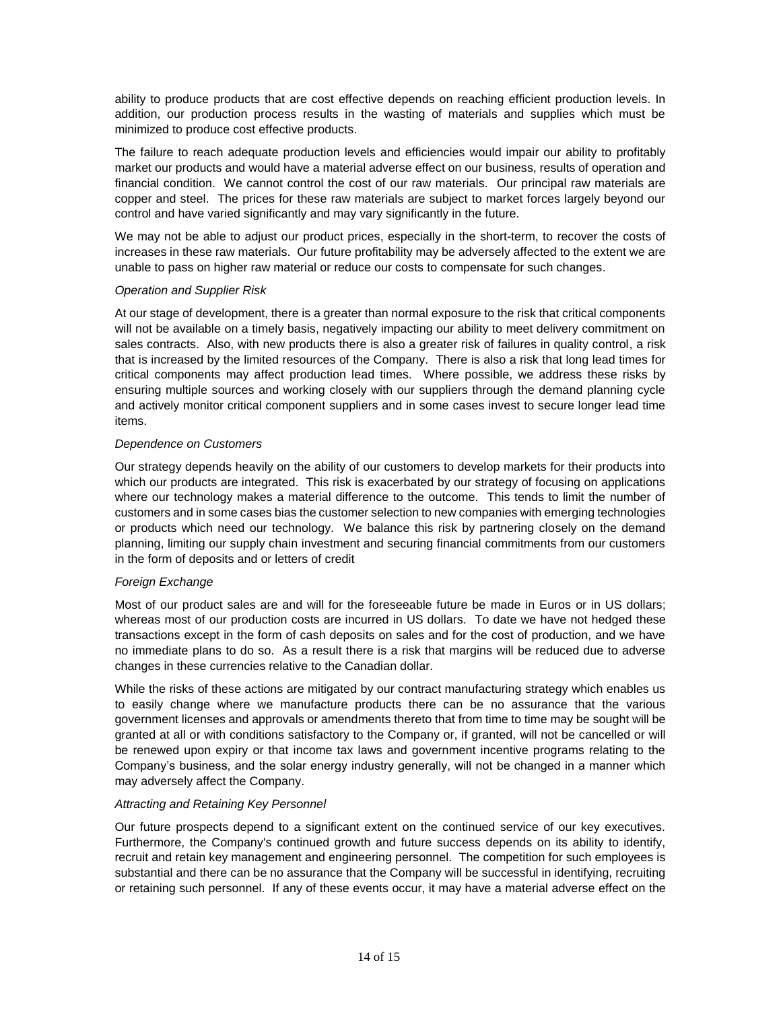ability to produce products that are cost effective depends on reaching efficient production levels. In addition, our production process results in the wasting of materials and supplies which must be minimized to produce cost effective products.

The failure to reach adequate production levels and efficiencies would impair our ability to profitably market our products and would have a material adverse effect on our business, results of operation and financial condition. We cannot control the cost of our raw materials. Our principal raw materials are copper and steel. The prices for these raw materials are subject to market forces largely beyond our control and have varied significantly and may vary significantly in the future.

We may not be able to adjust our product prices, especially in the short-term, to recover the costs of increases in these raw materials. Our future profitability may be adversely affected to the extent we are unable to pass on higher raw material or reduce our costs to compensate for such changes.

# *Operation and Supplier Risk*

At our stage of development, there is a greater than normal exposure to the risk that critical components will not be available on a timely basis, negatively impacting our ability to meet delivery commitment on sales contracts. Also, with new products there is also a greater risk of failures in quality control, a risk that is increased by the limited resources of the Company. There is also a risk that long lead times for critical components may affect production lead times. Where possible, we address these risks by ensuring multiple sources and working closely with our suppliers through the demand planning cycle and actively monitor critical component suppliers and in some cases invest to secure longer lead time items.

# *Dependence on Customers*

Our strategy depends heavily on the ability of our customers to develop markets for their products into which our products are integrated. This risk is exacerbated by our strategy of focusing on applications where our technology makes a material difference to the outcome. This tends to limit the number of customers and in some cases bias the customer selection to new companies with emerging technologies or products which need our technology. We balance this risk by partnering closely on the demand planning, limiting our supply chain investment and securing financial commitments from our customers in the form of deposits and or letters of credit

# *Foreign Exchange*

Most of our product sales are and will for the foreseeable future be made in Euros or in US dollars; whereas most of our production costs are incurred in US dollars. To date we have not hedged these transactions except in the form of cash deposits on sales and for the cost of production, and we have no immediate plans to do so. As a result there is a risk that margins will be reduced due to adverse changes in these currencies relative to the Canadian dollar.

While the risks of these actions are mitigated by our contract manufacturing strategy which enables us to easily change where we manufacture products there can be no assurance that the various government licenses and approvals or amendments thereto that from time to time may be sought will be granted at all or with conditions satisfactory to the Company or, if granted, will not be cancelled or will be renewed upon expiry or that income tax laws and government incentive programs relating to the Company's business, and the solar energy industry generally, will not be changed in a manner which may adversely affect the Company.

# *Attracting and Retaining Key Personnel*

Our future prospects depend to a significant extent on the continued service of our key executives. Furthermore, the Company's continued growth and future success depends on its ability to identify, recruit and retain key management and engineering personnel. The competition for such employees is substantial and there can be no assurance that the Company will be successful in identifying, recruiting or retaining such personnel. If any of these events occur, it may have a material adverse effect on the